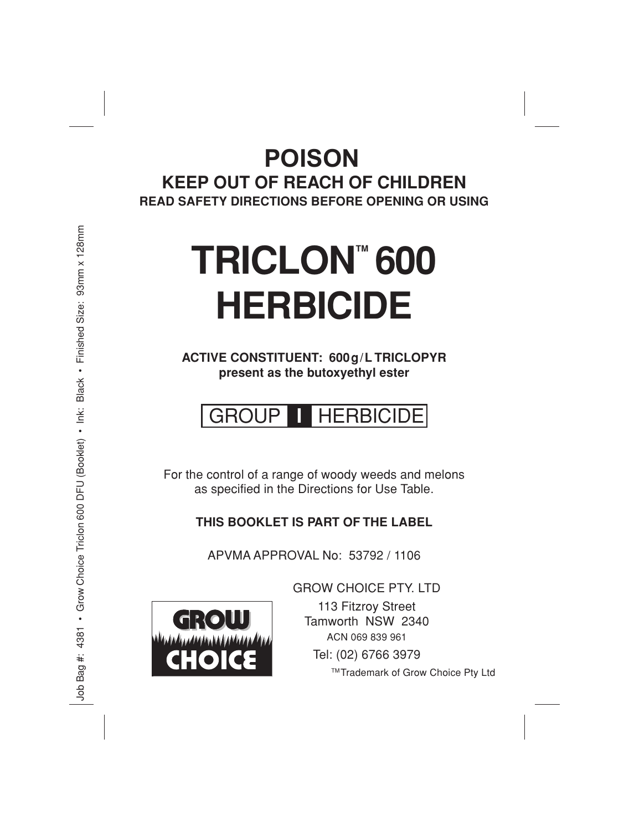### **POISON POISONKEEP OUT OF REACH OF CHILDREN READ SAFETY DIRECTIONS BEFORE OPENING OR USING**

## **TRICLON™ 600 HERBICIDE**

**ACTIVE CONSTITUENT: 600g/L TRICLOPYR present as the butoxyethyl ester**

## GROUP **I** HERBICIDE

For the control of a range of woody weeds and melons as specified in the Directions for Use Table.

#### **THIS BOOKLET IS PART OF THE LABEL**

APVMA APPROVAL No: 53792 / 1106



GROW CHOICE PTY. LTD

113 Fitzroy Street Tamworth NSW 2340 ACN 069 839 961 Tel: (02) 6766 3979

TM Trademark of Grow Choice Pty Ltd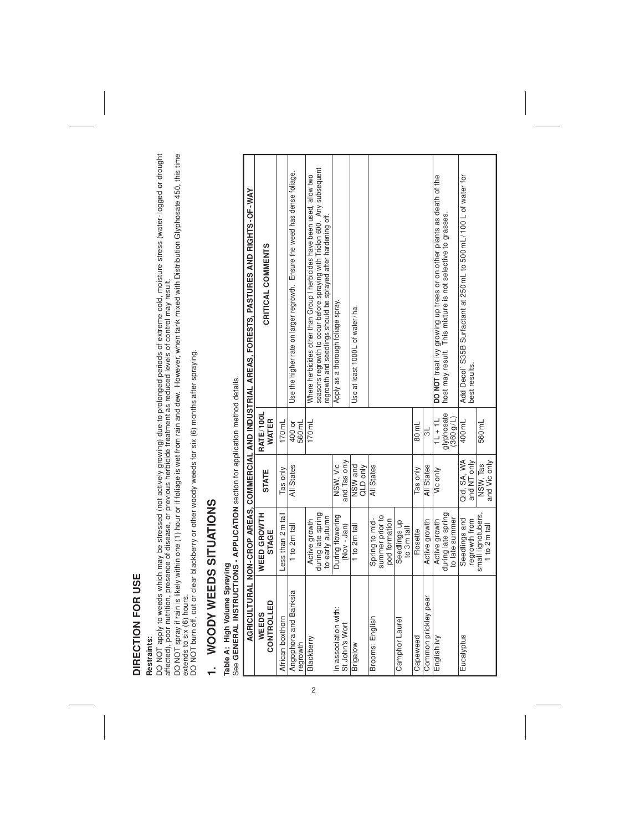## DIRECTION FOR USE **DIRECTION FOR USE**

### Restraints: **Restraints:**

DO NOT apply to weeds which may be stressed (not actively growing) due to prolonged periods of extreme cold, moisture stress (water-logged or drought<br>affected), poor nutrition, presence of disease, or previous herbicide tr DO NOT spray if rain is likely within one (1) hour or if foliage is wet from rain and dew. However, when tank mixed with Distribution Glyphosate 450, this time DO NOT apply to weeds which may be stressed (not actively growing) due to prolonged periods of extreme cold, moisture stress (water-logged or drought affected), poor nutrition, presence of disease, or previous herbicide treatment as reduced levels of control may result.

DO NOT spray if rain is likely within one (1) hour or if foliage is wet from rain and dew. However, when tank mixed with Distribution Glyphosate 450, this time extends to six (6) hours.<br>DO NOT burn off, cut or clear blackberry or other woody weeds for six (6) months after spraying. extends to six (6) hours.

DO NOT burn off, cut or clear blackberry or other woody weeds for six (6) months after spraying.

# WOODY WEEDS SITUATIONS **1. WOODY WEEDS SITUATIONS**  $\ddot{ }$

# **Table A: High Volume Spraying**

Table A: High Volume Spraying<br>See GENERAL INSTRUCTIONS - APPLICATION section for application method details. See **GENERAL INSTRUCTIONS - APPLICATION** section for application method details.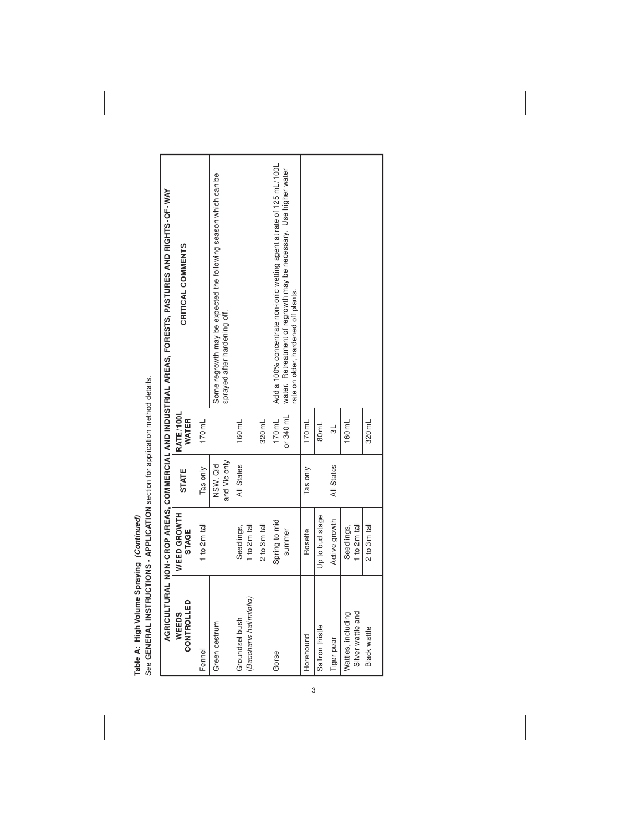Table A: High Volume Spraying *(Continued)*<br>See GENERAL INSTRUCTIONS - APPLICATION section for application method details. See **GENERAL INSTRUCTIONS - APPLICATION** section for application method details. **Table A: High Volume Spraying (Continued)**

|                                           |                             |                          |                     | AGRICULTURAL NON-CROP AREAS, COMMERCIAL AND INDUSTRIAL AREAS, FORESTS, PASTURES AND RIGHTS-OF-WAY                                                                                 |
|-------------------------------------------|-----------------------------|--------------------------|---------------------|-----------------------------------------------------------------------------------------------------------------------------------------------------------------------------------|
| CONTROLLED<br>WEEDS                       | WEED GROWTH<br><b>STAGE</b> | <b>STATE</b>             | RATE/100L<br>WATER  | CRITICAL COMMENTS                                                                                                                                                                 |
| Fennel                                    | 1 to 2 m tall               | Tas only                 | $170$ mL            |                                                                                                                                                                                   |
| Green cestrum                             |                             | and Vic only<br>NSW, Qld |                     | Some regrowth may be expected the following season which can be<br>sprayed after hardening off.                                                                                   |
| (Baccharis halimifolio)<br>Groundsel bush | 1 to 2 m tall<br>Seedlings, | All States               | 160 mL              |                                                                                                                                                                                   |
|                                           | 2 to 3 m tall               |                          | 320 mL              |                                                                                                                                                                                   |
| Gorse                                     | Spring to mid<br>summer     |                          | or 340 mL<br>170 mL | Add a 100% concentrate non-ionic wetting agent at rate of 125 mL/100L<br>water. Retreatment of regrowth may be necessary. Use higher water<br>rate on older, hardened off plants. |
| Horehound                                 | Rosette                     | Tas only                 | 170 mL              |                                                                                                                                                                                   |
| Saffron thistle                           | Up to bud stage             |                          | 80mL                |                                                                                                                                                                                   |
| Tiger pear                                | Active growth               | All States               | $\frac{1}{3}$       |                                                                                                                                                                                   |
| Silver wattle and<br>Wattles, including   | 1 to 2 m tall<br>Seedlings, |                          | 160 mL              |                                                                                                                                                                                   |
| Black wattle                              | 2 to 3 m tall               |                          | 320 mL              |                                                                                                                                                                                   |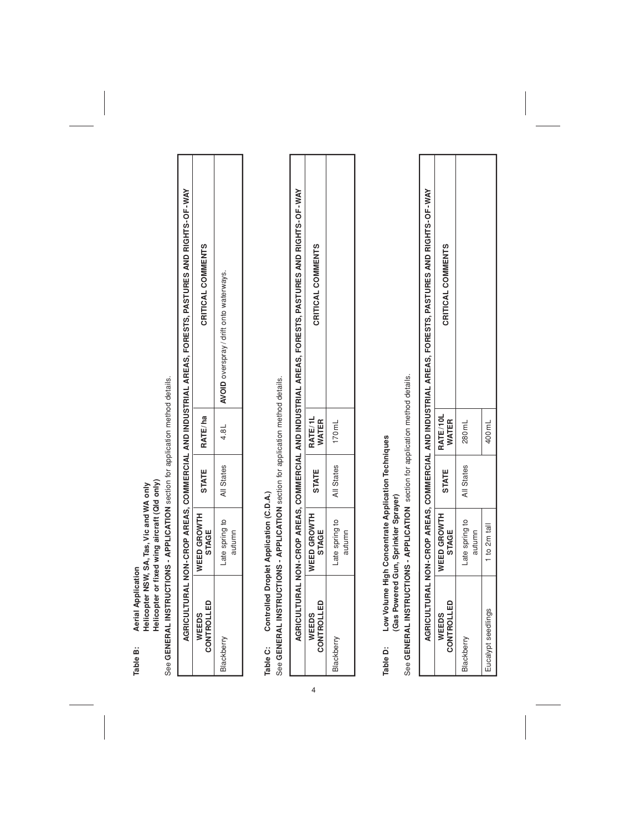| <b>Aerial Application</b> | Helicopter NSW, SA, Tas, Vic and WA only | Helicopter or fixed wing aircraft (Qld only) | See GENERAL INSTRUCTIONS - ADDITCATION section for app |
|---------------------------|------------------------------------------|----------------------------------------------|--------------------------------------------------------|
| Table B:                  |                                          |                                              |                                                        |

| l                |
|------------------|
| ï                |
| j<br>l           |
|                  |
| ١                |
| ł                |
| l<br>ì           |
|                  |
|                  |
|                  |
|                  |
|                  |
|                  |
|                  |
| ś<br>l           |
|                  |
| ı                |
| j                |
| j<br>j<br>l<br>l |
|                  |
|                  |
|                  |
|                  |
| i                |
|                  |
|                  |
|                  |
|                  |
| ֠                |
|                  |
|                  |
|                  |
| i                |
|                  |
| ֠                |
|                  |
|                  |
|                  |
|                  |
|                  |
|                  |
|                  |
|                  |
| j<br>١<br>١      |

| AGRICULTURAL NON-CROP AREAS, COMMERCIAL AND INDUSTRIAL AREAS, FORESTS, PASTURES AND RIGHTS-OF-WAY | CRITICAL COMMENTS<br>RATE/ha | AVOID overspray / drift on to waterways.<br>4.8L |
|---------------------------------------------------------------------------------------------------|------------------------------|--------------------------------------------------|
|                                                                                                   | <b>STATE</b>                 | All States                                       |
|                                                                                                   | <b>WEED GROWTH</b><br>STAGE  | ate spring to<br>autumn                          |
|                                                                                                   | CONTROLLED<br>WEEDS          | Blackberry                                       |

Controlled Droplet Application (C.D.A.) **Table C: Controlled Droplet Application (C.D.A.)** Table C:

See GENERAL INSTRUCTIONS - APPLICATION section for application method details. See **GENERAL INSTRUCTIONS - APPLICATION** section for application method details.

|                     |                             |                  |                         | GRICULTURAL NON-CROP AREAS, COMMERCIAL AND INDUSTRIAL AREAS, FORESTS, PASTURES AND RIGHTS-OF-WAY |
|---------------------|-----------------------------|------------------|-------------------------|--------------------------------------------------------------------------------------------------|
| CONTROLLED<br>WEEDS | <b>VEED GROWTH</b><br>STAGE | <b>STATE</b>     | RATE/1L<br><b>WATER</b> | CRITICAL COMMENTS                                                                                |
|                     | ate spring to<br>utumn      | <b>II</b> States | 170 mL                  |                                                                                                  |

## Low Volume High Concentrate Application Techniques **Table D: Low Volume High Concentrate Application Techniques** (Gas Powered Gun, Sprinkler Sprayer) **(Gas Powered Gun, Sprinkler Sprayer)** Table D:

See GENERAL INSTRUCTIONS - APPLICATION section for application method details. See **GENERAL INSTRUCTIONS - APPLICATION** section for application method details.

|                     |                                    |              |                   | AGRICULTURAL NON-CROP AREAS, COMMERCIAL AND INDUSTRIAL AREAS, FORESTS, PASTURES AND RIGHTS-OF-WAY |
|---------------------|------------------------------------|--------------|-------------------|---------------------------------------------------------------------------------------------------|
| CONTROLLED<br>WEEDS | <b>VEED GROWTH</b><br><b>STAGE</b> | <b>STATE</b> | RATE/10L<br>WATER | CRITICAL COMMENTS                                                                                 |
|                     | ate spring to<br>autumn            | All States   | 280 mL            |                                                                                                   |
| Eucalypt seedlings  | 1 to 2m tall                       |              | 400 ml            |                                                                                                   |

ι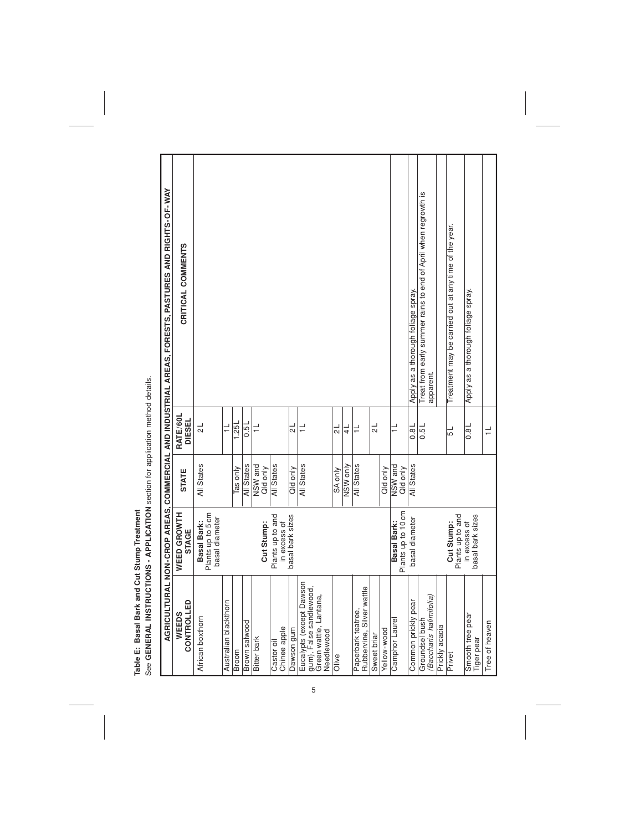|                                                                                             |                                                    |                      |                           | AGRICULTURAL NON-CROP AREAS, COMMERCIAL AND INDUSTRIAL AREAS, FORESTS, PASTURES AND RIGHTS-OF-WAY |
|---------------------------------------------------------------------------------------------|----------------------------------------------------|----------------------|---------------------------|---------------------------------------------------------------------------------------------------|
| CONTROLLED<br>WEEDS                                                                         | WEED GROWTH<br><b>STAGE</b>                        | <b>STATE</b>         | RATE/60L<br><b>DIESEL</b> | CRITICAL COMMENTS                                                                                 |
| African boxthorn                                                                            | Plants up to 5 cm<br>basal diameter<br>Basal Bark: | All States           | $\frac{1}{2}$             |                                                                                                   |
| Australian blackthorn                                                                       |                                                    |                      | $\frac{1}{1}$             |                                                                                                   |
| Broom                                                                                       |                                                    | Tas only             | 25L                       |                                                                                                   |
| Brown salwood                                                                               |                                                    | All States           | 0.5L                      |                                                                                                   |
| Bitter bark                                                                                 | Cut Stump:                                         | NSW and<br>Qild only |                           |                                                                                                   |
| Chinee apple<br>Castor oil                                                                  | Plants up to and<br>in excess of                   | All States           |                           |                                                                                                   |
| Dawson gum                                                                                  | basal bark sizes                                   | Old only             | 2L                        |                                                                                                   |
| Eucalypts (except Dawson<br>gum), False sandlewood,<br>Green wattle, Lantana,<br>Needlewood |                                                    | All States           |                           |                                                                                                   |
| Olive                                                                                       |                                                    | SA only              | $\frac{1}{2}$             |                                                                                                   |
|                                                                                             |                                                    | NSW only             | $\frac{1}{4}$             |                                                                                                   |
| Rubbervine, Silver wattle<br>Paperbark teatree,                                             |                                                    | All States           | ≓                         |                                                                                                   |
| Sweet briar                                                                                 |                                                    |                      | $\frac{1}{2}$             |                                                                                                   |
| Yellow-wood                                                                                 |                                                    | Qld only             |                           |                                                                                                   |
| Camphor Laurel                                                                              | Plants up to 10 cm<br>Basal Bark:                  | NSW and<br>Qild only |                           |                                                                                                   |
| Common prickly pear                                                                         | basal diameter                                     | All States           | $\overline{a}$            | Apply as a thorough foliage spray.                                                                |
| (Baccharis halimifolia)<br>Groundsel bush                                                   |                                                    |                      | 51                        | Treat from early summer rains to end of April when regrowth is<br>apparent.                       |
| Prickly acacia                                                                              |                                                    |                      |                           |                                                                                                   |
| Privet                                                                                      | Plants up to and<br>Cut Stump:                     |                      | 51                        | Treatment may be carried out at any time of the year.                                             |
| Smooth tree pear<br>Tiger pear                                                              | basal bark sizes<br>in excess of                   |                      | 0.81                      | Apply as a thorough foliage spray.                                                                |
| Tree of heaven                                                                              |                                                    |                      | $\frac{1}{1}$             |                                                                                                   |

See GENERAL INSTRUCTIONS - APPLICATION section for application method details. See **GENERAL INSTRUCTIONS - APPLICATION** section for application method details. Table E: Basal Bark and Cut Stump Treatment **Table E: Basal Bark and Cut Stump Treatment**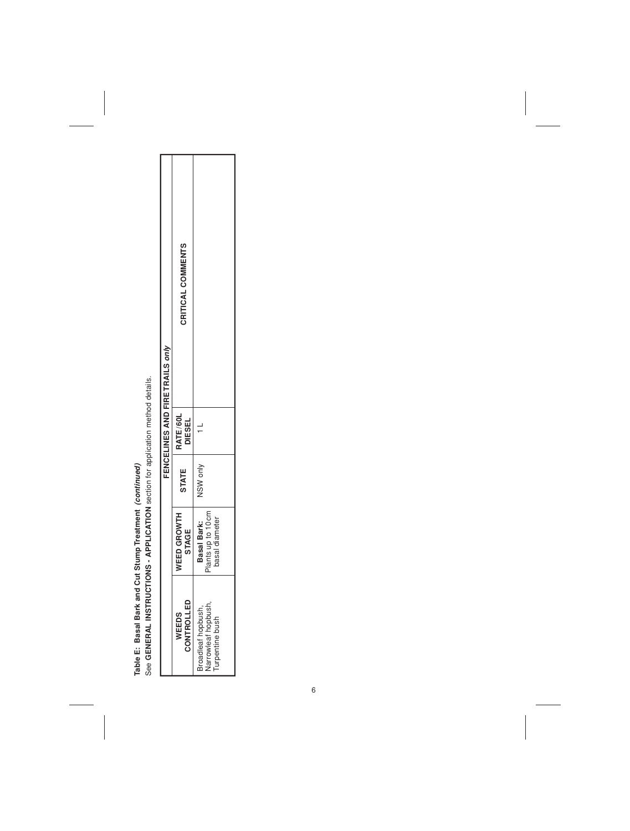See GENERAL INSTRUCTIONS - APPLICATION section for application method details. See **GENERAL INSTRUCTIONS - APPLICATION** section for application method details. Table E: Basal Bark and Cut Stump Treatment (continued) **Table E: Basal Bark and Cut Stump Treatment (continued)**

| FENCELINES AND FIRE TRAILS ONLY | CRITICAL COMMENTS           |                                                             |
|---------------------------------|-----------------------------|-------------------------------------------------------------|
|                                 | RATE/60L<br><b>DIESEL</b>   |                                                             |
|                                 | <b>STATE</b>                | NSW only                                                    |
|                                 | <b>WEED GROWTH</b><br>STAGE | Plants up to 10 cm<br>basal diameter<br>Basal Bark:         |
|                                 | CONTROLLED<br>WEEDS         | Narrowleaf hopbush<br>Broadleaf hopbush,<br>Turpentine bush |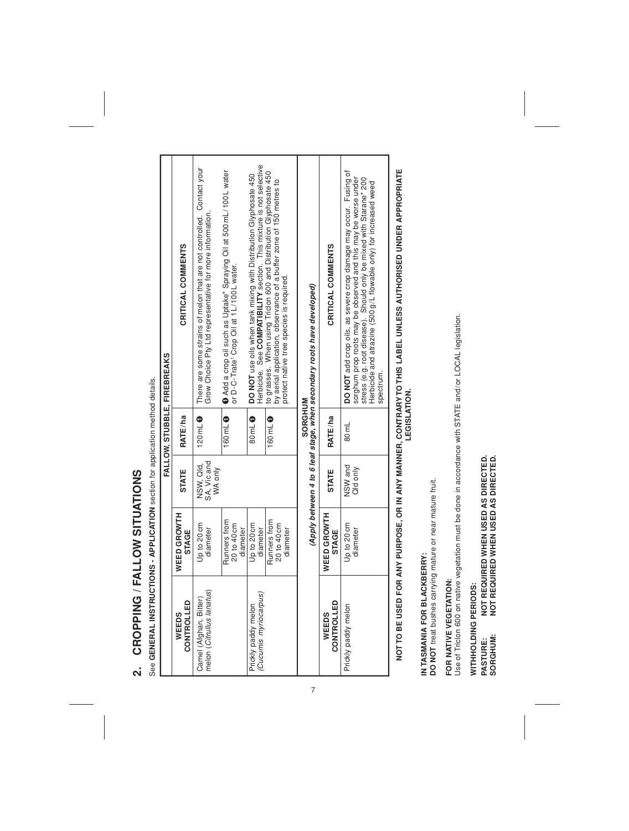CROPPING / FALLOW SITUATIONS **2. CROPPING / FALLOW SITUATIONS**  $\overline{\mathbf{a}}$  See GENERAL INSTRUCTIONS - APPLICATION section for application method details. **GENERAL INSTRUCTIONS - APPLICATION** section for application method details.

| FALLOW, STUBBLE, FIREBREAKS | CRITICAL COMMENTS           | There are some strains of melon that are not controlled. Contact your<br>Grow Choice Pty Ltd representative for more information. | <b>O</b> Add a crop oil such as Uptake* Spraying Oil at 500 mL/100 L water<br>or D-C-Trate <sup>1</sup> Crop Oil at 1L/100L water. | Herbioide. See COMPATIBILITY section. This mixture is not selective<br>80 mL @   DO NOT use oils when tank mixing with Distribution Glyphosate 450 | to grasses. When using Triclon 600 and Distribution Glyphosate 450<br>by aerial application, observance of a buffer zone of 150 metres to<br>protect native tree species is required | (Apply between 4 to 6 leaf stage, when secondary roots have developed) | CRITICAL COMMENTS           | DO NOT add crop oils, as severe crop damage may occur. Fusing of<br>sorghum prop roots may be observed and this may be worse under<br>stress (e.g. root disease). Should only be mixed with Starane* 200<br>Herbicide and atrazine (500 g/L flowable only) for increased weed<br>spectrum |
|-----------------------------|-----------------------------|-----------------------------------------------------------------------------------------------------------------------------------|------------------------------------------------------------------------------------------------------------------------------------|----------------------------------------------------------------------------------------------------------------------------------------------------|--------------------------------------------------------------------------------------------------------------------------------------------------------------------------------------|------------------------------------------------------------------------|-----------------------------|-------------------------------------------------------------------------------------------------------------------------------------------------------------------------------------------------------------------------------------------------------------------------------------------|
|                             | RATE/ha                     | $120$ mL $\theta$                                                                                                                 | $160 \text{ mL}$ 0                                                                                                                 |                                                                                                                                                    | 160 mL @                                                                                                                                                                             | SORGHUM                                                                | RATE/ha                     | 80mL                                                                                                                                                                                                                                                                                      |
|                             | <b>STATE</b>                | SA, Vic and<br>NSW, Qld,<br>WA only                                                                                               |                                                                                                                                    |                                                                                                                                                    |                                                                                                                                                                                      |                                                                        | <b>STATE</b>                | NSW and<br>Qld only                                                                                                                                                                                                                                                                       |
|                             | WEED GROWTH<br><b>STAGE</b> | Up to 20 cm<br>diameter                                                                                                           | Runners from<br>20 to 40 cm<br>diameter                                                                                            | Up to 20 cm<br>diameter                                                                                                                            | Runners from<br>20 to 40 cm<br>diameter                                                                                                                                              |                                                                        | WEED GROWTH<br><b>STAGE</b> | Up to 20 cm<br>diameter                                                                                                                                                                                                                                                                   |
|                             | CONTROLLED<br>WEEDS         | melon (Citrullus lanatus)<br>Camel (Afghan, Bitter)                                                                               |                                                                                                                                    | (Cucumis myriocarpus)<br>Prickly paddy melon                                                                                                       |                                                                                                                                                                                      |                                                                        | CONTROLLED<br>WEEDS         | Prickly paddy melon                                                                                                                                                                                                                                                                       |

NOT TO BE USED FOR ANY PURPOSE, OR IN ANY MANNER, CONTRARY TO THIS LABEL UNLESS AUTHORISED UNDER APPROPRIATE **NOT TO BE USED FOR ANY PURPOSE, OR IN ANY MANNER, CONTRARY TO THIS LABEL UNLESS AUTHORISED UNDER APPROPRIATE LEGISLATION. LEGISLATION.**

# **IN TASMANIA FOR BLACKBERRY:**

INTASMANIA FOR BLACKBERRY:<br>DO NOT treat bushes carrying mature or near mature fruit. **DO NOT** treat bushes carrying mature or near mature fruit.

## FOR NATIVE VEGETATION: **FOR NATIVE VEGETATION:**

Use of Triclon 600 on native vegetation must be done in accordance with STATE and/or LOCAL legislation. Use of Triclon 600 on native vegetation must be done in accordance with STATE and/or LOCAL legislation.

## WITHHOLDING PERIODS: **WITHHOLDING PERIODS:**

NOT REQUIRED WHEN USED AS DIRECTED.<br>NOT REQUIRED WHEN USED AS DIRECTED. **PASTURE: NOT REQUIRED WHEN USED AS DIRECTED. SORGHUM: NOT REQUIRED WHEN USED AS DIRECTED.** SORGHUM: PASTURE: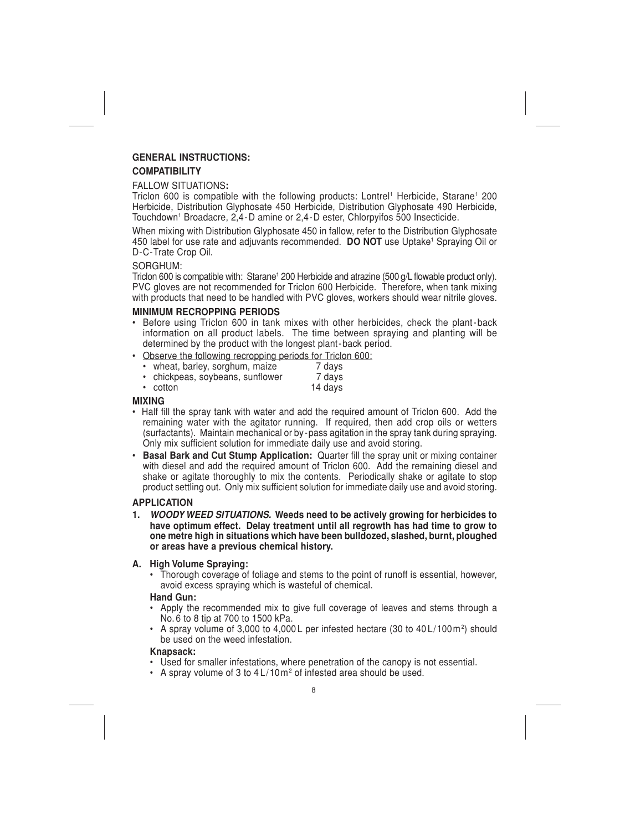#### **GENERAL INSTRUCTIONS: COMPATIBILITY**

#### FALLOW SITUATIONS**:**

Triclon 600 is compatible with the following products: Lontrel<sup>1</sup> Herbicide, Starane<sup>1</sup> 200 Herbicide, Distribution Glyphosate 450 Herbicide, Distribution Glyphosate 490 Herbicide, Touchdown1 Broadacre, 2,4-D amine or 2,4-D ester, Chlorpyifos 500 Insecticide.

When mixing with Distribution Glyphosate 450 in fallow, refer to the Distribution Glyphosate 450 label for use rate and adjuvants recommended. **DO NOT** use Uptake1 Spraying Oil or D-C-Trate Crop Oil.

#### SORGHUM:

Triclon 600 is compatible with: Starane<sup>1</sup> 200 Herbicide and atrazine (500 g/L flowable product only). PVC gloves are not recommended for Triclon 600 Herbicide. Therefore, when tank mixing with products that need to be handled with PVC gloves, workers should wear nitrile gloves.

#### **MINIMUM RECROPPING PERIODS**

- Before using Triclon 600 in tank mixes with other herbicides, check the plant-back information on all product labels. The time between spraying and planting will be determined by the product with the longest plant-back period.
- Observe the following recropping periods for Triclon 600:<br>• wheat, barley, sorghum, maize
	- wheat, barley, sorghum, maize 7 days<br>• chickneas, sovbeans, sunflower 7 days
	- chickpeas, soybeans, sunflower<br>• cotton
		- 14 days

#### **MIXING**

- Half fill the spray tank with water and add the required amount of Triclon 600. Add the remaining water with the agitator running. If required, then add crop oils or wetters (surfactants). Maintain mechanical or by-pass agitation in the spray tank during spraying. Only mix sufficient solution for immediate daily use and avoid storing.
- **Basal Bark and Cut Stump Application:** Quarter fill the spray unit or mixing container with diesel and add the required amount of Triclon 600. Add the remaining diesel and shake or agitate thoroughly to mix the contents. Periodically shake or agitate to stop product settling out. Only mix sufficient solution for immediate daily use and avoid storing.

#### **APPLICATION**

- **1. WOODY WEED SITUATIONS. Weeds need to be actively growing for herbicides to have optimum effect. Delay treatment until all regrowth has had time to grow to one metre high in situations which have been bulldozed, slashed, burnt, ploughed or areas have a previous chemical history.**
- **A. High Volume Spraying:**
	- Thorough coverage of foliage and stems to the point of runoff is essential, however, avoid excess spraying which is wasteful of chemical.

#### **Hand Gun:**

- Apply the recommended mix to give full coverage of leaves and stems through a No. 6 to 8 tip at 700 to 1500 kPa.
- A spray volume of 3,000 to 4,000 L per infested hectare (30 to  $40 L/100 m^2$ ) should be used on the weed infestation.

#### **Knapsack:**

- Used for smaller infestations, where penetration of the canopy is not essential.
- A spray volume of 3 to 4 L/10m2 of infested area should be used.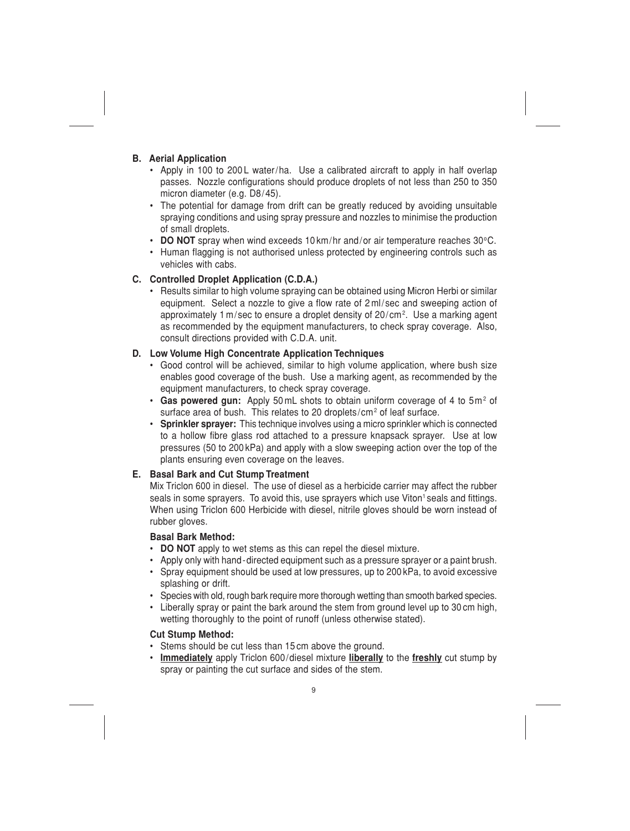#### **B. Aerial Application**

- Apply in 100 to 200 L water/ha. Use a calibrated aircraft to apply in half overlap passes. Nozzle configurations should produce droplets of not less than 250 to 350 micron diameter (e.g. D8/45).
- The potential for damage from drift can be greatly reduced by avoiding unsuitable spraying conditions and using spray pressure and nozzles to minimise the production of small droplets.
- **DO NOT** spray when wind exceeds 10 km/hr and/or air temperature reaches 30°C.
- Human flagging is not authorised unless protected by engineering controls such as vehicles with cabs.

#### **C. Controlled Droplet Application (C.D.A.)**

• Results similar to high volume spraying can be obtained using Micron Herbi or similar equipment. Select a nozzle to give a flow rate of 2 ml/sec and sweeping action of approximately 1 m/sec to ensure a droplet density of 20/cm2. Use a marking agent as recommended by the equipment manufacturers, to check spray coverage. Also, consult directions provided with C.D.A. unit.

#### **D. Low Volume High Concentrate Application Techniques**

- Good control will be achieved, similar to high volume application, where bush size enables good coverage of the bush. Use a marking agent, as recommended by the equipment manufacturers, to check spray coverage.
- **Gas powered gun:** Apply 50 mL shots to obtain uniform coverage of 4 to 5m2 of surface area of bush. This relates to 20 droplets/cm<sup>2</sup> of leaf surface.
- **Sprinkler sprayer:** This technique involves using a micro sprinkler which is connected to a hollow fibre glass rod attached to a pressure knapsack sprayer. Use at low pressures (50 to 200 kPa) and apply with a slow sweeping action over the top of the plants ensuring even coverage on the leaves.

#### **E. Basal Bark and Cut Stump Treatment**

Mix Triclon 600 in diesel. The use of diesel as a herbicide carrier may affect the rubber seals in some sprayers. To avoid this, use sprayers which use Viton<sup>1</sup> seals and fittings. When using Triclon 600 Herbicide with diesel, nitrile gloves should be worn instead of rubber gloves.

#### **Basal Bark Method:**

- **DO NOT** apply to wet stems as this can repel the diesel mixture.
- Apply only with hand-directed equipment such as a pressure sprayer or a paint brush.
- Spray equipment should be used at low pressures, up to 200 kPa, to avoid excessive splashing or drift.
- Species with old, rough bark require more thorough wetting than smooth barked species.
- Liberally spray or paint the bark around the stem from ground level up to 30 cm high, wetting thoroughly to the point of runoff (unless otherwise stated).

#### **Cut Stump Method:**

- Stems should be cut less than 15 cm above the ground.
- **Immediately** apply Triclon 600/diesel mixture **liberally** to the **freshly** cut stump by spray or painting the cut surface and sides of the stem.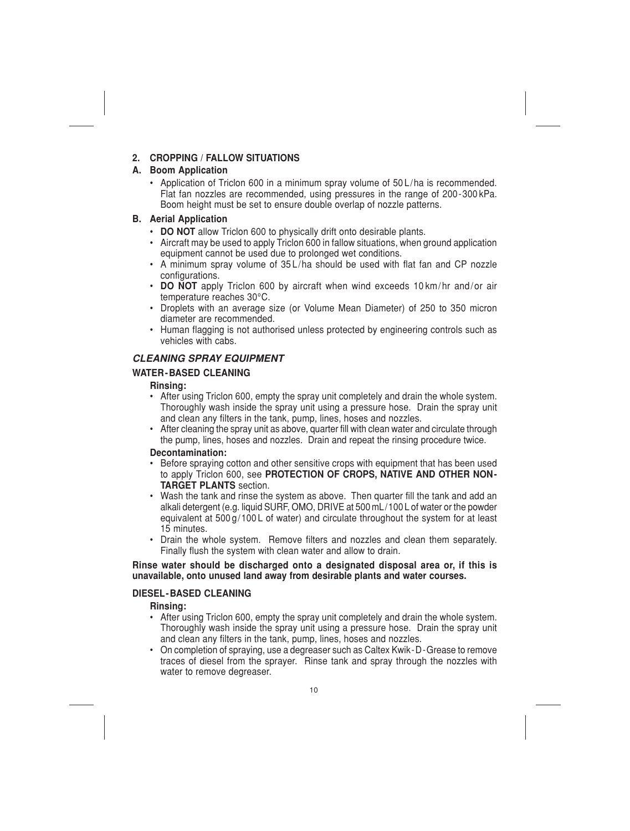#### **2. CROPPING / FALLOW SITUATIONS**

#### **A. Boom Application**

• Application of Triclon 600 in a minimum spray volume of 50 L/ha is recommended. Flat fan nozzles are recommended, using pressures in the range of 200-300 kPa. Boom height must be set to ensure double overlap of nozzle patterns.

#### **B. Aerial Application**

- **DO NOT** allow Triclon 600 to physically drift onto desirable plants.
- Aircraft may be used to apply Triclon 600 in fallow situations, when ground application equipment cannot be used due to prolonged wet conditions.
- A minimum spray volume of 35 L/ha should be used with flat fan and CP nozzle configurations.
- **DO NOT** apply Triclon 600 by aircraft when wind exceeds 10 km/hr and/or air temperature reaches 30°C.
- Droplets with an average size (or Volume Mean Diameter) of 250 to 350 micron diameter are recommended.
- Human flagging is not authorised unless protected by engineering controls such as vehicles with cabs.

#### **CLEANING SPRAY EQUIPMENT**

#### **WATER-BASED CLEANING**

#### **Rinsing:**

- After using Triclon 600, empty the spray unit completely and drain the whole system. Thoroughly wash inside the spray unit using a pressure hose. Drain the spray unit and clean any filters in the tank, pump, lines, hoses and nozzles.
- After cleaning the spray unit as above, quarter fill with clean water and circulate through the pump, lines, hoses and nozzles. Drain and repeat the rinsing procedure twice.

#### **Decontamination:**

- Before spraying cotton and other sensitive crops with equipment that has been used to apply Triclon 600, see **PROTECTION OF CROPS, NATIVE AND OTHER NON-TARGET PLANTS** section.
- Wash the tank and rinse the system as above. Then quarter fill the tank and add an alkali detergent (e.g. liquid SURF, OMO, DRIVE at 500 mL/100 L of water or the powder equivalent at 500 g/100 L of water) and circulate throughout the system for at least 15 minutes.
- Drain the whole system. Remove filters and nozzles and clean them separately. Finally flush the system with clean water and allow to drain.

#### **Rinse water should be discharged onto a designated disposal area or, if this is unavailable, onto unused land away from desirable plants and water courses.**

#### **DIESEL-BASED CLEANING**

#### **Rinsing:**

- After using Triclon 600, empty the spray unit completely and drain the whole system. Thoroughly wash inside the spray unit using a pressure hose. Drain the spray unit and clean any filters in the tank, pump, lines, hoses and nozzles.
- On completion of spraying, use a degreaser such as Caltex Kwik-D-Grease to remove traces of diesel from the sprayer. Rinse tank and spray through the nozzles with water to remove degreaser.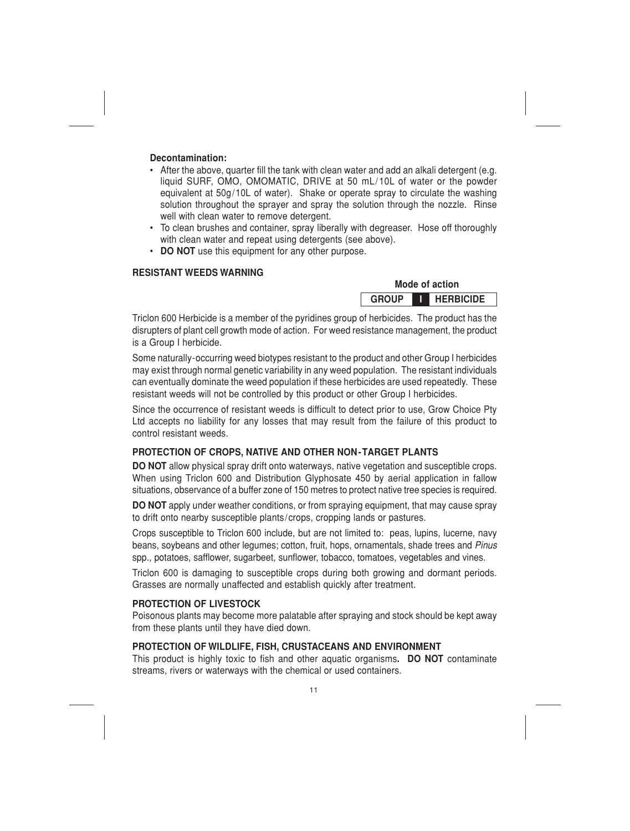#### **Decontamination:**

- After the above, quarter fill the tank with clean water and add an alkali detergent (e.g. liquid SURF, OMO, OMOMATIC, DRIVE at 50 mL/10L of water or the powder equivalent at 50g/10L of water). Shake or operate spray to circulate the washing solution throughout the sprayer and spray the solution through the nozzle. Binse well with clean water to remove detergent.
- To clean brushes and container, spray liberally with degreaser. Hose off thoroughly with clean water and repeat using detergents (see above).
- **DO NOT** use this equipment for any other purpose.

#### **RESISTANT WEEDS WARNING**

#### **Mode of action**

 **GROUP I HERBICIDE**

Triclon 600 Herbicide is a member of the pyridines group of herbicides. The product has the disrupters of plant cell growth mode of action. For weed resistance management, the product is a Group I herbicide.

Some naturally-occurring weed biotypes resistant to the product and other Group I herbicides may exist through normal genetic variability in any weed population. The resistant individuals can eventually dominate the weed population if these herbicides are used repeatedly. These resistant weeds will not be controlled by this product or other Group I herbicides.

Since the occurrence of resistant weeds is difficult to detect prior to use, Grow Choice Pty Ltd accepts no liability for any losses that may result from the failure of this product to control resistant weeds.

#### **PROTECTION OF CROPS, NATIVE AND OTHER NON-TARGET PLANTS**

**DO NOT** allow physical spray drift onto waterways, native vegetation and susceptible crops. When using Triclon 600 and Distribution Glyphosate 450 by aerial application in fallow situations, observance of a buffer zone of 150 metres to protect native tree species is required.

**DO NOT** apply under weather conditions, or from spraying equipment, that may cause spray to drift onto nearby susceptible plants/crops, cropping lands or pastures.

Crops susceptible to Triclon 600 include, but are not limited to: peas, lupins, lucerne, navy beans, soybeans and other legumes; cotton, fruit, hops, ornamentals, shade trees and Pinus spp., potatoes, safflower, sugarbeet, sunflower, tobacco, tomatoes, vegetables and vines.

Triclon 600 is damaging to susceptible crops during both growing and dormant periods. Grasses are normally unaffected and establish quickly after treatment.

#### **PROTECTION OF LIVESTOCK**

Poisonous plants may become more palatable after spraying and stock should be kept away from these plants until they have died down.

#### **PROTECTION OF WILDLIFE, FISH, CRUSTACEANS AND ENVIRONMENT**

This product is highly toxic to fish and other aquatic organisms**. DO NOT** contaminate streams, rivers or waterways with the chemical or used containers.